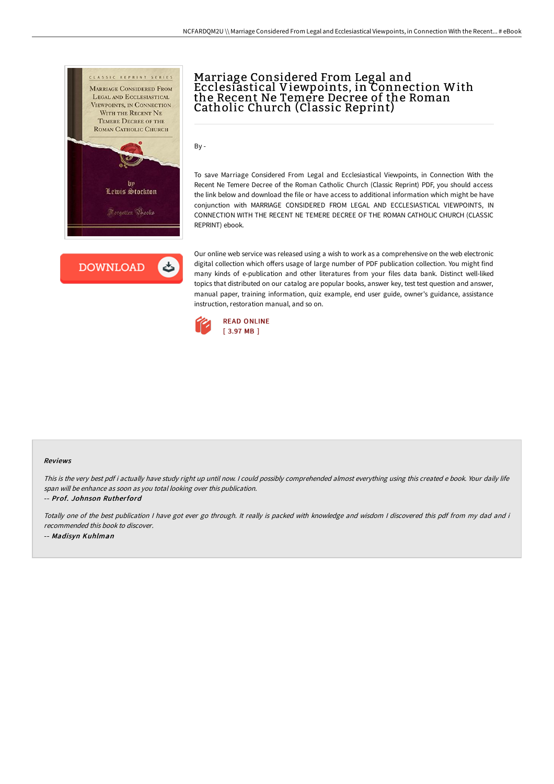



# Marriage Considered From Legal and Ecclesiastical Viewpoints, in Connection With the Recent Ne Temere Decree of the Roman Catholic Church (Classic Reprint)

By -

To save Marriage Considered From Legal and Ecclesiastical Viewpoints, in Connection With the Recent Ne Temere Decree of the Roman Catholic Church (Classic Reprint) PDF, you should access the link below and download the file or have access to additional information which might be have conjunction with MARRIAGE CONSIDERED FROM LEGAL AND ECCLESIASTICAL VIEWPOINTS, IN CONNECTION WITH THE RECENT NE TEMERE DECREE OF THE ROMAN CATHOLIC CHURCH (CLASSIC REPRINT) ebook.

Our online web service was released using a wish to work as a comprehensive on the web electronic digital collection which offers usage of large number of PDF publication collection. You might find many kinds of e-publication and other literatures from your files data bank. Distinct well-liked topics that distributed on our catalog are popular books, answer key, test test question and answer, manual paper, training information, quiz example, end user guide, owner's guidance, assistance instruction, restoration manual, and so on.



#### Reviews

This is the very best pdf i actually have study right up until now. <sup>I</sup> could possibly comprehended almost everything using this created <sup>e</sup> book. Your daily life span will be enhance as soon as you total looking over this publication.

-- Prof. Johnson Rutherford

Totally one of the best publication <sup>I</sup> have got ever go through. It really is packed with knowledge and wisdom <sup>I</sup> discovered this pdf from my dad and i recommended this book to discover. -- Madisyn Kuhlman